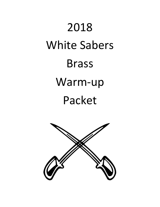# 2018 White Sabers Brass Warm-up Packet

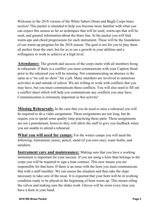Welcome to the 2018 version of the White Sabers Drum and Bugle Corps brass section! This packet is intended to help you become more familiar with what you can expect this season as far as techniques that will be used, warm-ups that will be used, and general information about the brass line. In the packet you will find warm-ups and chord progressions for each instrument. These will be the foundation of our warm-up program for the 2018 season. The goal is not for you to play them all perfect from the start, but for us to see a growth in your abilities and a willingness to work to achieve at a high level.

**Attendance:** The growth and success of the corps starts with all members being at rehearsals. If there is a conflict you must communicate with your Caption Head prior to the rehearsal you will be missing. Not communicating an absence is the same as a "no call no show" for a job. Many members are involved in numerous activities in and outside of school. We are willing to work with conflicts that you may have, but you must communicate these conflicts. You will also need to fill out a conflict sheet which will help you communicate any conflicts you may have. Communication is extremely important in this activity!

**Missing Rehearsals:** In the case that you do need to miss a rehearsal you will be required to do a video assignment. These assignments are not long, but do require you to spend some quality time practicing these parts. These assignments are not a punishment, however they will allow the staff to give you feedback when you are unable to attend a rehearsal.

**What you will need for camps:** For the winter camps you will need the following: Instrument, music, pencil, stand (if you own one), water bottle, and sneakers.

**Instrument care and maintenance:** Making sure that you have a working instrument is important for your success. If you are using a horn than belongs to the corps you will be required to sign a loan contract. This now means you are responsible for that horn. If there is an issue with the horn you must communicate that with a staff member. We can assess the situation and then take the steps necessary to take care of the issue. It is expected that your horn will be in working condition ready to be played at the beginning of horn warm up. This means oiling the valves and making sure the slides work. Gloves will be worn every time you have a horn in your hand.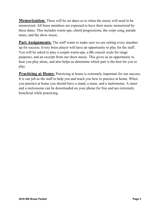**Memorization:** There will be set dates as to when the music will need to be memorized. All brass members are expected to have their music memorized by these dates. This includes warm-ups, chord progressions, the corps song, parade tunes, and the show music.

**Part Assignments:** The staff wants to make sure we are setting every member up for success. Every brass player will have an opportunity to play for the staff. You will be asked to play a couple warm-ups, a Bb concert scale for range purposes, and an excerpt from our show music. This gives us an opportunity to hear you play alone, and also helps us determine which part is the best for you to play.

**Practicing at Home:** Practicing at home is extremely important for our success. It is our job as the staff to help you and teach you how to practice at home. When you practice at home you should have a stand, a tuner, and a metronome. A tuner and a metronome can be downloaded on your phone for free and are extremely beneficial while practicing.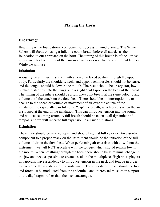#### **Playing the Horn**

#### **Breathing:**

Breathing is the foundational component of successful wind playing. The White Sabers will focus on using a full, one-count breath before all attacks as the foundation to our approach on the horn. The timing of this breath is of the utmost importance for the timing of the ensemble and does not change at different tempos. While we will use

#### **Inhalation**

A quality breath must first start with an erect, relaxed posture through the upper body. Particularly the shoulders, neck, and upper back muscles should not be tense, and the tongue should be low in the mouth. The result should be a very soft, low pitched rush of air into the lungs, and a slight "cold spot" on the back of the throat. The timing of the inhale should be a full one-count breath at the same velocity and volume until the attack on the downbeat. There should be no interruption in, or change to the speed or volume of movement of air over the course of the inhalation. Be especially careful not to "cap" the breath, which occurs when the air is stopped at the end of the inhalation. This can introduce tension into the sound, and will cause timing errors. A full breath should be taken at all dynamics and tempos, and we will rehearse full expansion in all such situations.

#### **Exhalation**

The exhale should be relaxed, open and should begin at full velocity. An essential component to a proper attack on the instrument should be the initiation of the full volume of air on the downbeat. When performing air exercises with or without the instrument, we will NOT articulate with the tongue, which should remain low in the mouth. When breathing through the horn, there should be as minimal change in the jaw and neck as possible to create a seal on the mouthpiece. High brass players in particular have a tendency to introduce tension in the neck and tongue in order to overcome the resistance of the instrument. The velocity of the air should be first and foremost be modulated from the abdominal and intercostal muscles in support of the diaphragm, rather than the neck andtongue.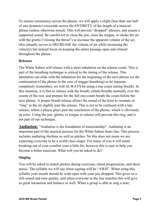To ensure consistency across the phrase, we will apply a slight (less than one half of one dynamic) crescendo across the ENTIRETY of the length of a musical phrase (unless otherwise noted). This will prevent "dropped" phrases, and ensure a supported sound. Be careful not to close the jaw, raise the tongue, or choke the air with the glottis ("closing the throat") to increase the apparent volume of the air, (this actually serves to DECREASE the volume of air while increasing the velocity) but instead focus on keeping the entire passage open and relaxed throughout the phrase.

#### **Releases**

The White Sabers will release with a short inhalation on the release count. This is part of the breathing technique is critical to the timing of the release. This inhalation can elide with the inhalation for the beginning of the next phrase (or the continuation of the phrase in the case of stagger breathing) or be separate completely (remember, we will ALWAYS be using a one count timing breath). In this situation, it is fine to release with the breath, exhale/breathe normally over the counts of the rest, and prepare for the full one-count breath the count before the next phrase. A proper breath release allows the sound of the horn to resonate or "ring" in the air slightly past the release. This is not to be confused with a late release, where a player plays past the conclusion of the phrase, which is obviously an error. Using the jaw, glottis, or tongue to release will prevent this ring, and is not part of our technique.

**Audiation:** "Audiation is the foundation of musicianship". Audiating is an important part of the musical process for the White Sabers brass line. This process includes audiating rhythms as well as pitches. No this does not mean we are expecting everyone to be a world class singer. For many of you it will mean breaking out of your comfort zone a little bit, however this is sure to help you become a better musician. What will you be asked to do?

#### **Singing**

You will be asked to match pitches during exercises, chord progressions, and show music. The syllable we will use when signing will be "AWH". When using this syllable your mouth should be wide open with your jaw dropped. This gives us a rich sound and tone quality, and when everyone in the line matches this will give us great intonation and balance as well. When a group is able to sing a note,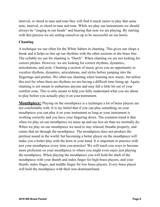interval, or chord in tune and tone they will find it much easier to play that same note, interval, or chord in tune and tone. While we play our instruments we should always be "singing in our heads" and hearing that note we are playing. By starting with this process we are setting ourselves up to be successful on our horns.

#### **Chanting**

A technique we use often for the White Sabers in chanting. This gives our chops a break and it helps us line up our rhythms with the other sections in the brass line. The syllable we use for chanting is "Dawh". When chanting we are not looking for correct pitches. However, we are looking for correct rhythms, dynamics, articulations, and style. Chanting a section of music gives you an opportunity to vocalize rhythms, dynamics, articulations, and styles before jumping into the fingerings and pitches. We often use chanting when learning new music, but utilize this tool for when there are rhythms we are having a difficult time lining up. Again, chanting is not meant to embarrass anyone and may fall a little bit out of your comfort zone. This is only meant to help you fully understand what you are about to play before you actually play it on yourinstrument.

**Mouthpiece:** Playing on the mouthpiece is a technique a lot of brass players are not comfortable with. It is my belief that if you can play something on your mouthpiece you can play it on your instrument as long as your instrument is working correctly and you have your fingering down. The common trend is that when we play on our mouthpiece we tense up and use less air than we normally do. When we play on our mouthpiece we need to stay relaxed, breathe properly, and center that air through the mouthpiece. The mouthpiece does not produce the prettiest sound in the world, but becoming a better player on the mouthpiece will make you a better play with the horn in your hand. It is important to practice with just your mouthpiece every time you practice! We will teach you ways to become more proficient on your mouthpiece to where you might even enjoy just playing the mouthpiece. When playing the mouthpiece you will hold the shaft of the mouthpiece with your thumb and index finger for high brass players, and your thumb, index finger, and middle finger for low brass players. Every brass player will hold the mouthpiece with their non-dominanthand.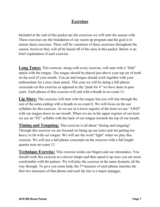## **Exercises**

Included at the end of this packet are the exercises we will start the season with. These exercises are the foundation of our warm-up program and the goal is to master these exercises. There will be variations of these exercises throughout the season, however they will all be based off of the ones in this packet. Below is an brief explanation of each exercise.

**Long Tones:** This exercise, along with every exercise, will start with a "Dah" attack with the tongue. The tongue should be placed just above your top set of teeth on the roof of your mouth. You air and tongue should work together with your embouchure for a nice clean attack. This year we will be doing a full phrase crescendo on this exercise as opposed to the "push for 4" we have done in past years. Each phrase of this exercise will end with a breath in on count 13.

**Lip Slurs:** This exercise will start with the tongue but you will slur through the rest of the notes ending with a breath in on count 8. We will focus on the use syllables for this exercise. As we are in a lower register of the horn we use "AWH" with our tongue down in our mouth. When we are in the upper register of our horn we use an "EE" syllable with the back of our tongue towards the top of our mouth.

**Timing and Tonguing:** This exercise is all about "timing and tonguing". Through this exercise we are focused on lining up our notes and not getting too heavy or fat with our tongue. We will use the word "light" when we play this exercise. We will use a full phrase crescendo on the exercise with a full length quarter note on count 13.

**Technique Exercise:** This exercise works our fingers and our chromatics. You should work this exercise at a slower tempo and then speed it up once you are more comfortable with the pattern. We will play the exercise at the same dynamic all the way through. To give you some help, the 3<sup>rd</sup> measure of each phrase matches the first two measures of that phrase and each lip slur is a major arpeggio.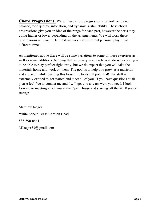**Chord Progressions:** We will use chord progressions to work on blend, balance, tone quality, intonation, and dynamic sustainability. These chord progressions give you an idea of the range for each part, however the parts may going higher or lower depending on the arrangements. We will work these progressions at many different dynamics with different personal playing at different times.

As mentioned above there will be some variations to some of these exercises as well as some additions. Nothing that we give you at a rehearsal do we expect you to be able to play perfect right away, but we do expect that you will take the materials home and work on them. The goal is to help you grow as a musician and a player, while pushing this brass line to its full potential! The staff is extremely excited to get started and meet all of you. If you have questions at all please feel free to contact me and I will get you any answers you need. I look forward to meeting all of you at the Open House and starting off the 2018 season strong!

Matthew Jaeger White Sabers Brass Caption Head 585-590-0441 MJaeger33@gmail.com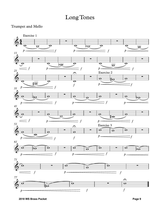## Long Tones

#### Trumpet and Mello

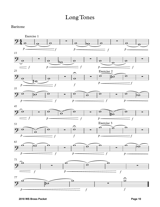## Long Tones

#### Baritone

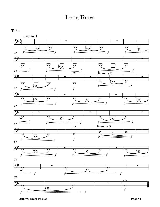## Long Tones



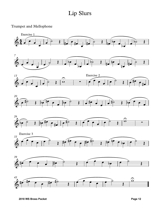## Lip Slurs

#### Trumpet and Mellophone















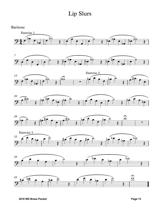# Lip Slurs

#### Baritone















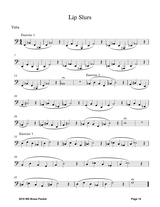

Tuba

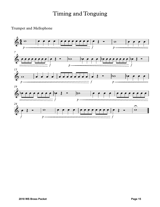# Timing and Tonguing

Trumpet and Mellophone

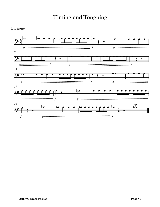Timing and Tonguing

Baritone

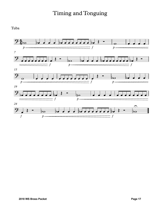# Timing and Tonguing

Tuba

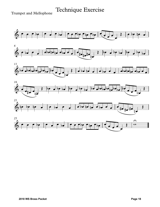# Technique Exercise

### Trumpet and Mellophone











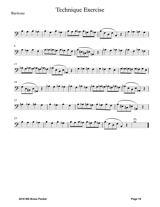# Technique Exercise

#### Baritone











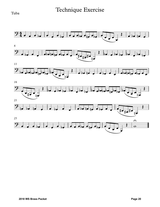# Technique Exercise



Tuba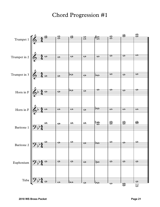## Chord Progression #1